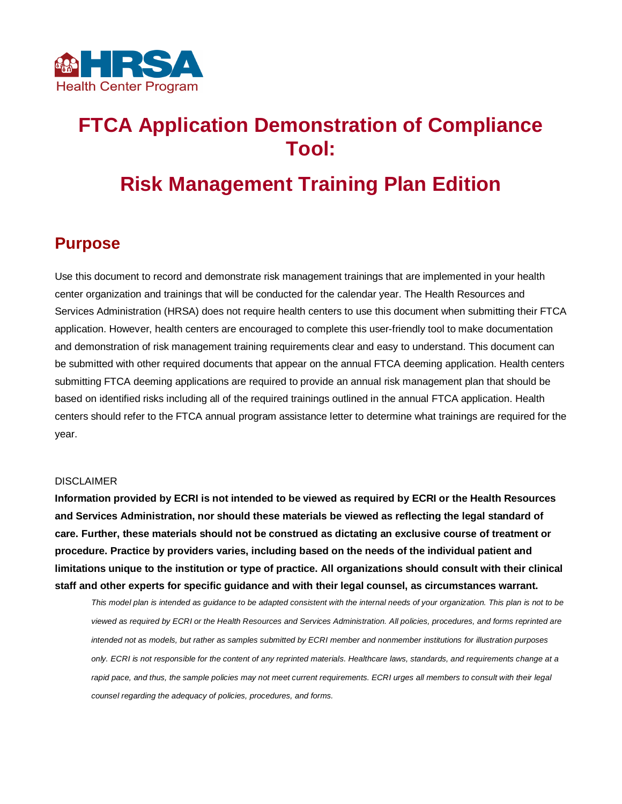

# **FTCA Application Demonstration of Compliance Tool:**

# **Risk Management Training Plan Edition**

### **Purpose**

Use this document to record and demonstrate risk management trainings that are implemented in your health center organization and trainings that will be conducted for the calendar year. The Health Resources and Services Administration (HRSA) does not require health centers to use this document when submitting their FTCA application. However, health centers are encouraged to complete this user-friendly tool to make documentation and demonstration of risk management training requirements clear and easy to understand. This document can be submitted with other required documents that appear on the annual FTCA deeming application. Health centers submitting FTCA deeming applications are required to provide an annual risk management plan that should be based on identified risks including all of the required trainings outlined in the annual FTCA application. Health centers should refer to the FTCA annual program assistance letter to determine what trainings are required for the year.

#### DISCLAIMER

**Information provided by ECRI is not intended to be viewed as required by ECRI or the Health Resources and Services Administration, nor should these materials be viewed as reflecting the legal standard of care. Further, these materials should not be construed as dictating an exclusive course of treatment or procedure. Practice by providers varies, including based on the needs of the individual patient and limitations unique to the institution or type of practice. All organizations should consult with their clinical staff and other experts for specific guidance and with their legal counsel, as circumstances warrant.**

*This model plan is intended as guidance to be adapted consistent with the internal needs of your organization. This plan is not to be viewed as required by ECRI or the Health Resources and Services Administration. All policies, procedures, and forms reprinted are intended not as models, but rather as samples submitted by ECRI member and nonmember institutions for illustration purposes only. ECRI is not responsible for the content of any reprinted materials. Healthcare laws, standards, and requirements change at a*  rapid pace, and thus, the sample policies may not meet current requirements. ECRI urges all members to consult with their legal *counsel regarding the adequacy of policies, procedures, and forms.*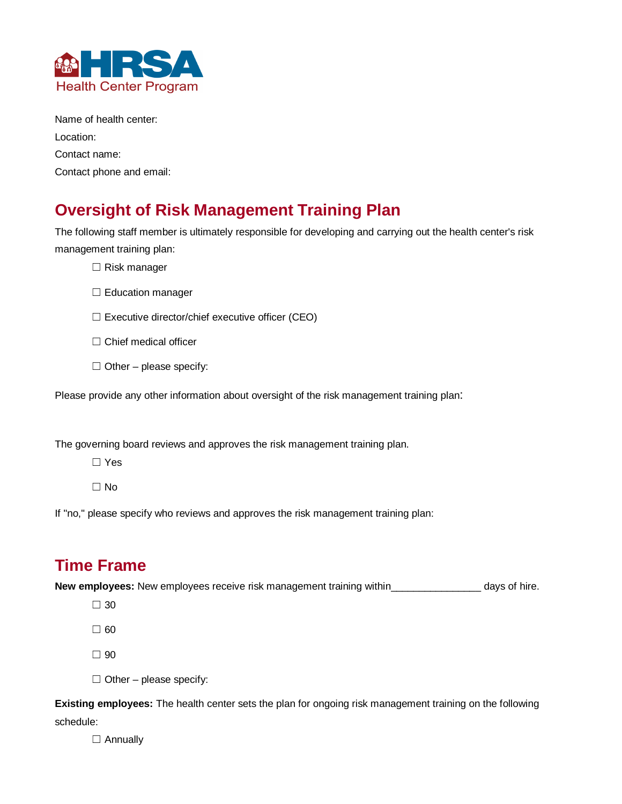

Name of health center: Location: Contact name: Contact phone and email:

## **Oversight of Risk Management Training Plan**

The following staff member is ultimately responsible for developing and carrying out the health center's risk management training plan:

- ☐ Risk manager
- □ Education manager
- ☐ Executive director/chief executive officer (CEO)
- □ Chief medical officer
- $\Box$  Other please specify:

Please provide any other information about oversight of the risk management training plan:

The governing board reviews and approves the risk management training plan.

☐ Yes

☐ No

If "no," please specify who reviews and approves the risk management training plan:

### **Time Frame**

**New employees:** New employees receive risk management training within\_\_\_\_\_\_\_\_\_\_\_\_\_\_\_\_ days of hire.

- ☐ 30
- ☐ 60
- ☐ 90
- $\Box$  Other please specify:

**Existing employees:** The health center sets the plan for ongoing risk management training on the following schedule:

□ Annually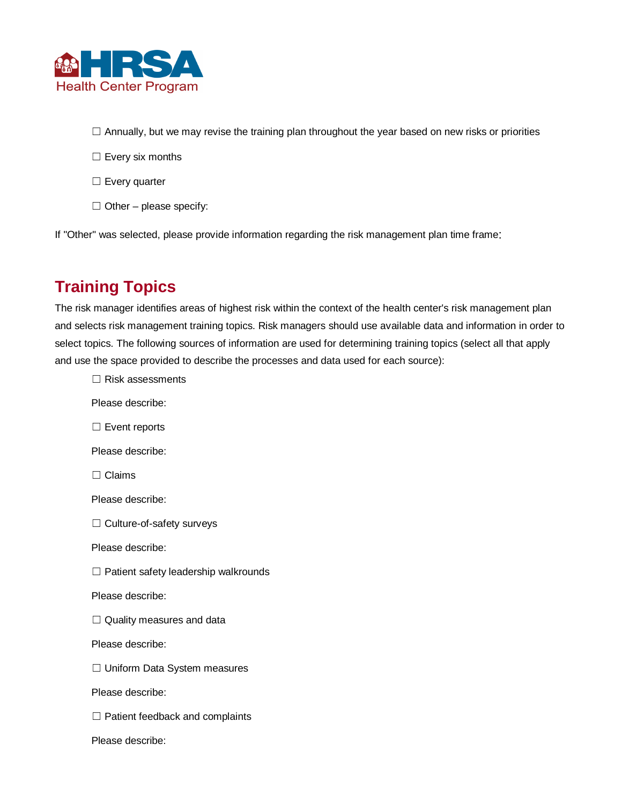

- □ Annually, but we may revise the training plan throughout the year based on new risks or priorities
- □ Every six months
- ☐ Every quarter
- $\Box$  Other please specify:

If "Other" was selected, please provide information regarding the risk management plan time frame:

## **Training Topics**

The risk manager identifies areas of highest risk within the context of the health center's risk management plan and selects risk management training topics. Risk managers should use available data and information in order to select topics. The following sources of information are used for determining training topics (select all that apply and use the space provided to describe the processes and data used for each source):

☐ Risk assessments Please describe: □ Event reports Please describe: ☐ Claims Please describe: ☐ Culture-of-safety surveys Please describe: ☐ Patient safety leadership walkrounds Please describe: □ Quality measures and data Please describe: ☐ Uniform Data System measures Please describe: □ Patient feedback and complaints Please describe: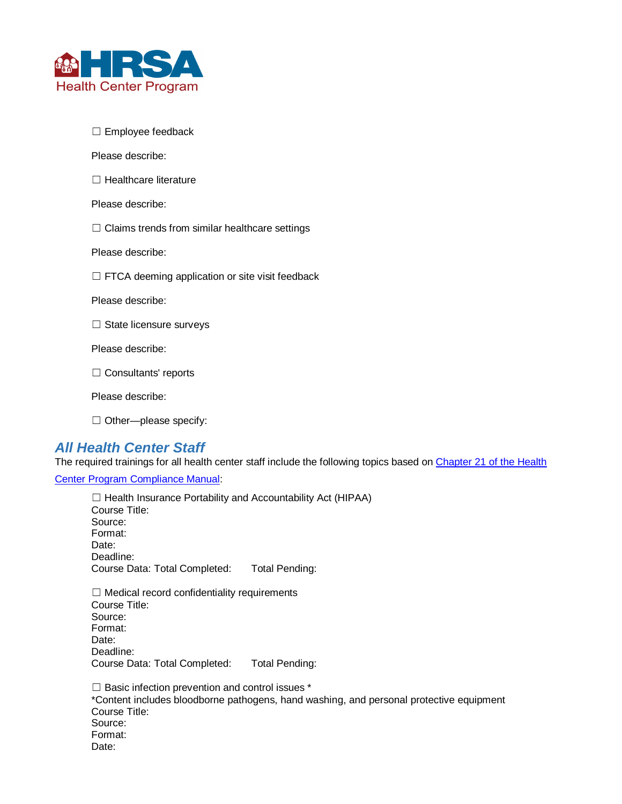

☐ Employee feedback

Please describe:

□ Healthcare literature

Please describe:

 $\Box$  Claims trends from similar healthcare settings

Please describe:

 $\Box$  FTCA deeming application or site visit feedback

Please describe:

□ State licensure surveys

Please describe:

□ Consultants' reports

Please describe:

□ Other—please specify:

#### *All Health Center Staff*

The required trainings for all health center staff include the following topics based on Chapter 21 of the Health

[Center Program Compliance Manual:](https://bphc.hrsa.gov/programrequirements/compliancemanual/introduction.html)

□ Health Insurance Portability and Accountability Act (HIPAA) Course Title: Source: Format: Date: Deadline: Course Data: Total Completed: Total Pending:  $\Box$  Medical record confidentiality requirements Course Title: Source: Format: Date: Deadline: Course Data: Total Completed: Total Pending:

 $\Box$  Basic infection prevention and control issues  $^*$ \*Content includes bloodborne pathogens, hand washing, and personal protective equipment Course Title: Source: Format: Date: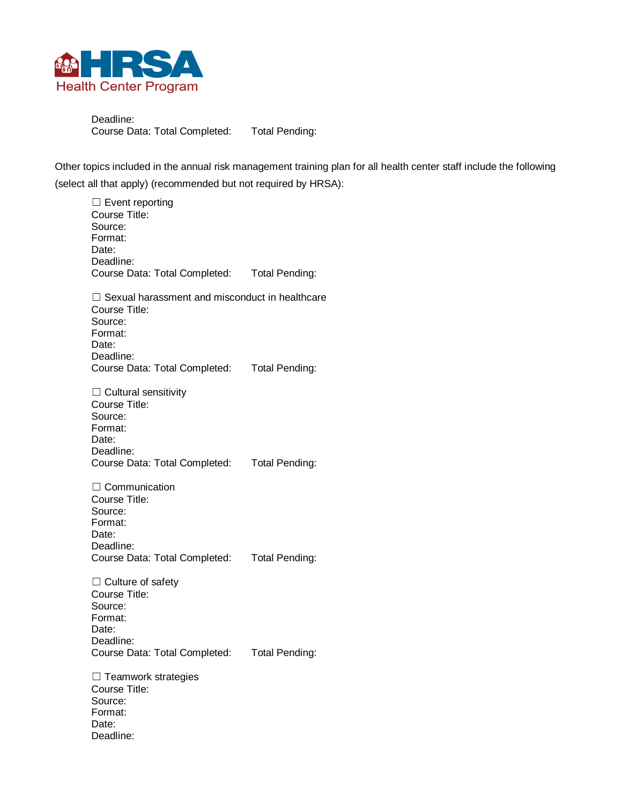

Deadline: Course Data: Total Completed: Total Pending:

Other topics included in the annual risk management training plan for all health center staff include the following (select all that apply) (recommended but not required by HRSA):

□ Event reporting Course Title: Source: Format: Date: Deadline: Course Data: Total Completed: Total Pending:  $\Box$  Sexual harassment and misconduct in healthcare Course Title: Source: Format: Date: Deadline: Course Data: Total Completed: Total Pending:  $\Box$  Cultural sensitivity Course Title: Source: Format: Date: Deadline: Course Data: Total Completed: Total Pending: □ Communication Course Title: Source: Format: Date: Deadline: Course Data: Total Completed: Total Pending: □ Culture of safety Course Title: Source: Format: Date: Deadline: Course Data: Total Completed: Total Pending: □ Teamwork strategies Course Title: Source: Format: Date: Deadline: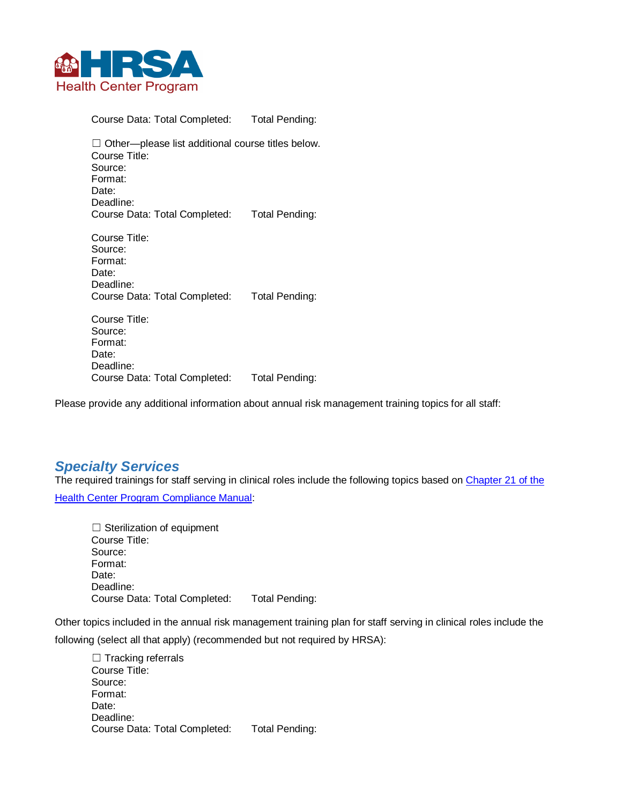

Course Data: Total Completed: Total Pending:

 $\Box$  Other—please list additional course titles below. Course Title: Source: Format: Date: Deadline: Course Data: Total Completed: Total Pending:

Course Title: Source: Format: Date: Deadline: Course Data: Total Completed: Total Pending:

Course Title: Source: Format: Date: Deadline: Course Data: Total Completed: Total Pending:

Please provide any additional information about annual risk management training topics for all staff:

#### *Specialty Services*

The required trainings for staff serving in clinical roles include the following topics based on Chapter 21 of the [Health Center Program Compliance Manual:](https://bphc.hrsa.gov/programrequirements/compliancemanual/chapter-21.html#titletop)

 $\Box$  Sterilization of equipment Course Title: Source: Format: Date: Deadline: Course Data: Total Completed: Total Pending:

Other topics included in the annual risk management training plan for staff serving in clinical roles include the following (select all that apply) (recommended but not required by HRSA):

□ Tracking referrals Course Title: Source: Format: Date: Deadline: Course Data: Total Completed: Total Pending: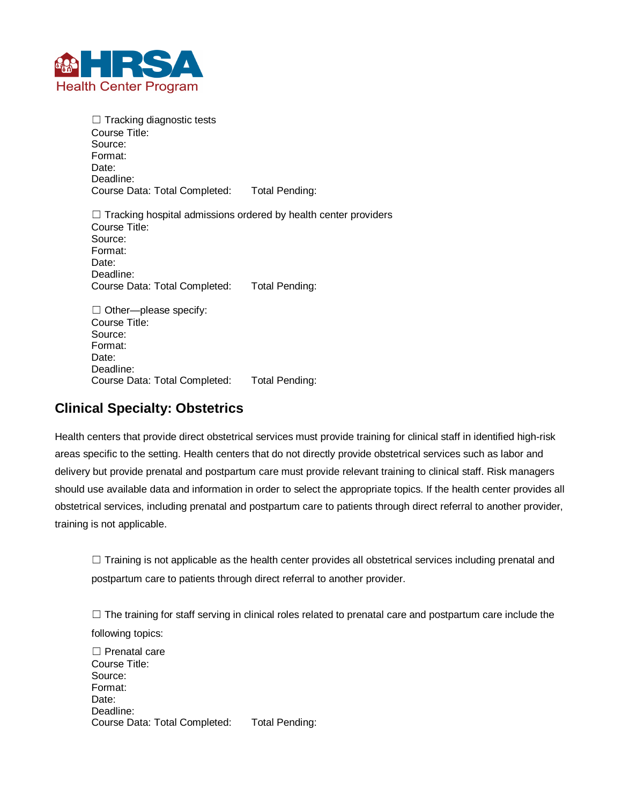

 $\Box$  Tracking diagnostic tests Course Title: Source: Format: Date: Deadline: Course Data: Total Completed: Total Pending:

 $\Box$  Tracking hospital admissions ordered by health center providers Course Title: Source: Format: Date: Deadline: Course Data: Total Completed: Total Pending:

 $\Box$  Other—please specify: Course Title: Source: Format: Date: Deadline: Course Data: Total Completed: Total Pending:

#### **Clinical Specialty: Obstetrics**

Health centers that provide direct obstetrical services must provide training for clinical staff in identified high-risk areas specific to the setting. Health centers that do not directly provide obstetrical services such as labor and delivery but provide prenatal and postpartum care must provide relevant training to clinical staff. Risk managers should use available data and information in order to select the appropriate topics. If the health center provides all obstetrical services, including prenatal and postpartum care to patients through direct referral to another provider, training is not applicable.

 $\Box$  Training is not applicable as the health center provides all obstetrical services including prenatal and postpartum care to patients through direct referral to another provider.

 $\Box$  The training for staff serving in clinical roles related to prenatal care and postpartum care include the following topics:

□ Prenatal care Course Title: Source: Format: Date: Deadline: Course Data: Total Completed: Total Pending: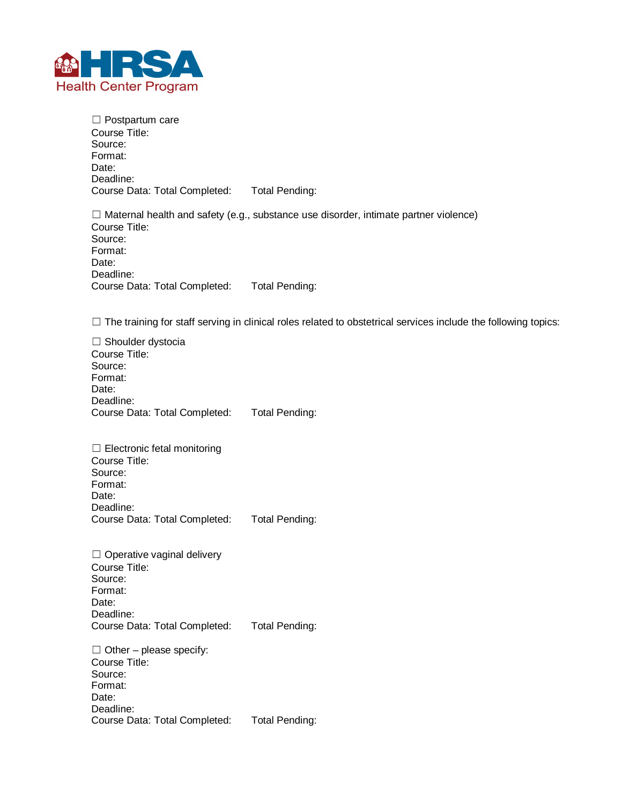

□ Postpartum care Course Title: Source: Format: Date: Deadline: Course Data: Total Completed: Total Pending:

 $\Box$  Maternal health and safety (e.g., substance use disorder, intimate partner violence) Course Title: Source: Format: Date: Deadline: Course Data: Total Completed: Total Pending:

□ The training for staff serving in clinical roles related to obstetrical services include the following topics:

□ Shoulder dystocia Course Title: Source: Format: Date: Deadline: Course Data: Total Completed: Total Pending:

 $\Box$  Electronic fetal monitoring Course Title: Source: Format: Date: Deadline: Course Data: Total Completed: Total Pending:

□ Operative vaginal delivery Course Title: Source: Format: Date: Deadline: Course Data: Total Completed: Total Pending:

 $\Box$  Other – please specify: Course Title: Source: Format: Date: Deadline: Course Data: Total Completed: Total Pending: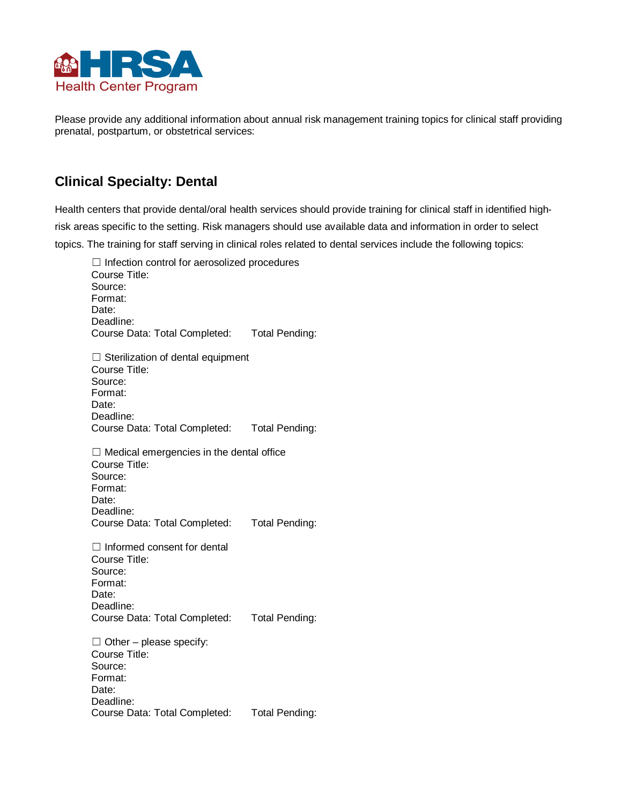

Please provide any additional information about annual risk management training topics for clinical staff providing prenatal, postpartum, or obstetrical services:

### **Clinical Specialty: Dental**

Health centers that provide dental/oral health services should provide training for clinical staff in identified highrisk areas specific to the setting. Risk managers should use available data and information in order to select topics. The training for staff serving in clinical roles related to dental services include the following topics:

☐ Infection control for aerosolized procedures Course Title: Source: Format: Date: Deadline: Course Data: Total Completed: Total Pending: □ Sterilization of dental equipment Course Title: Source: Format: Date: Deadline: Course Data: Total Completed: Total Pending:  $\Box$  Medical emergencies in the dental office Course Title: Source: Format: Date: Deadline: Course Data: Total Completed: Total Pending: ☐ Informed consent for dental Course Title: Source: Format: Date: Deadline: Course Data: Total Completed: Total Pending:  $\Box$  Other – please specify: Course Title: Source: Format: Date: Deadline: Course Data: Total Completed: Total Pending: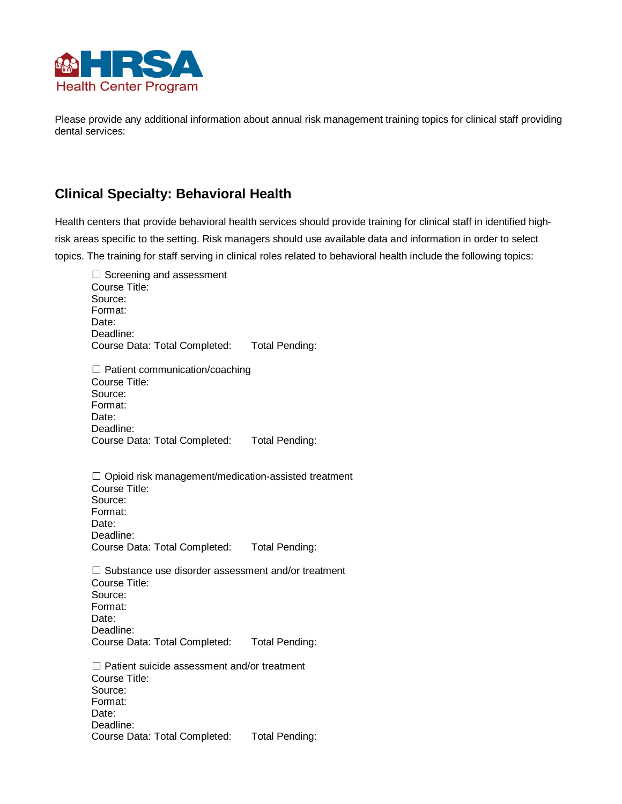

Please provide any additional information about annual risk management training topics for clinical staff providing dental services:

#### **Clinical Specialty: Behavioral Health**

Health centers that provide behavioral health services should provide training for clinical staff in identified highrisk areas specific to the setting. Risk managers should use available data and information in order to select topics. The training for staff serving in clinical roles related to behavioral health include the following topics:

| $\Box$ Screening and assessment<br>Course Title:<br>Source:<br>Format:<br>Date:<br>Deadline:<br>Course Data: Total Completed: Total Pending:                           |                |
|------------------------------------------------------------------------------------------------------------------------------------------------------------------------|----------------|
| $\Box$ Patient communication/coaching<br>Course Title:<br>Source:<br>Format:<br>Date:<br>Deadline:<br>Course Data: Total Completed: Total Pending:                     |                |
| □ Opioid risk management/medication-assisted treatment<br>Course Title:<br>Source:<br>Format:<br>Date:<br>Deadline:<br>Course Data: Total Completed: Total Pending:    |                |
| $\Box$ Substance use disorder assessment and/or treatment<br>Course Title:<br>Source:<br>Format:<br>Date:<br>Deadline:<br>Course Data: Total Completed: Total Pending: |                |
| $\Box$ Patient suicide assessment and/or treatment<br>Course Title:<br>Source:<br>Format:<br>Date:<br>Deadline:<br>Course Data: Total Completed:                       | Total Pending: |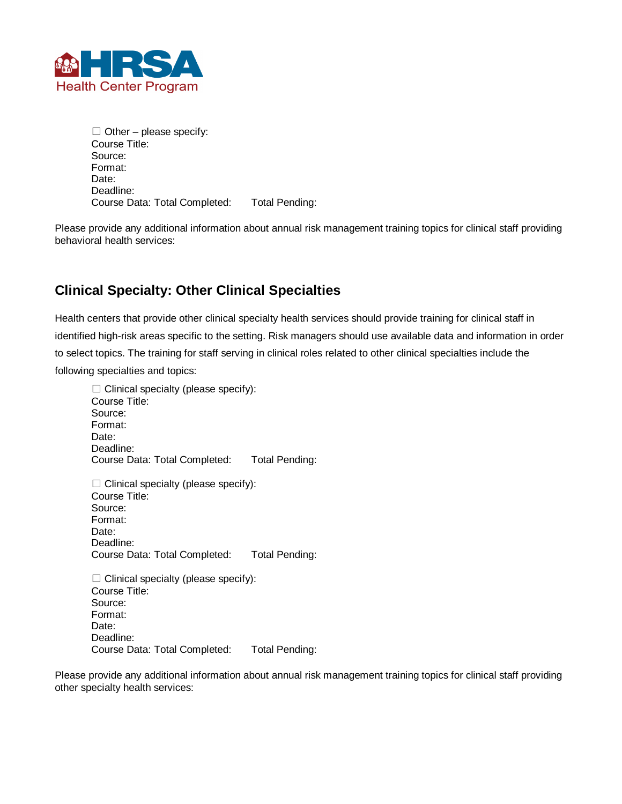

 $\Box$  Other – please specify: Course Title: Source: Format: Date: Deadline: Course Data: Total Completed: Total Pending:

Please provide any additional information about annual risk management training topics for clinical staff providing behavioral health services:

#### **Clinical Specialty: Other Clinical Specialties**

Health centers that provide other clinical specialty health services should provide training for clinical staff in identified high-risk areas specific to the setting. Risk managers should use available data and information in order to select topics. The training for staff serving in clinical roles related to other clinical specialties include the following specialties and topics:

 $\Box$  Clinical specialty (please specify): Course Title: Source: Format: Date: Deadline: Course Data: Total Completed: Total Pending:  $\Box$  Clinical specialty (please specify): Course Title: Source: Format: Date: Deadline: Course Data: Total Completed: Total Pending:  $\Box$  Clinical specialty (please specify): Course Title: Source: Format:

Date: Deadline: Course Data: Total Completed: Total Pending:

Please provide any additional information about annual risk management training topics for clinical staff providing other specialty health services: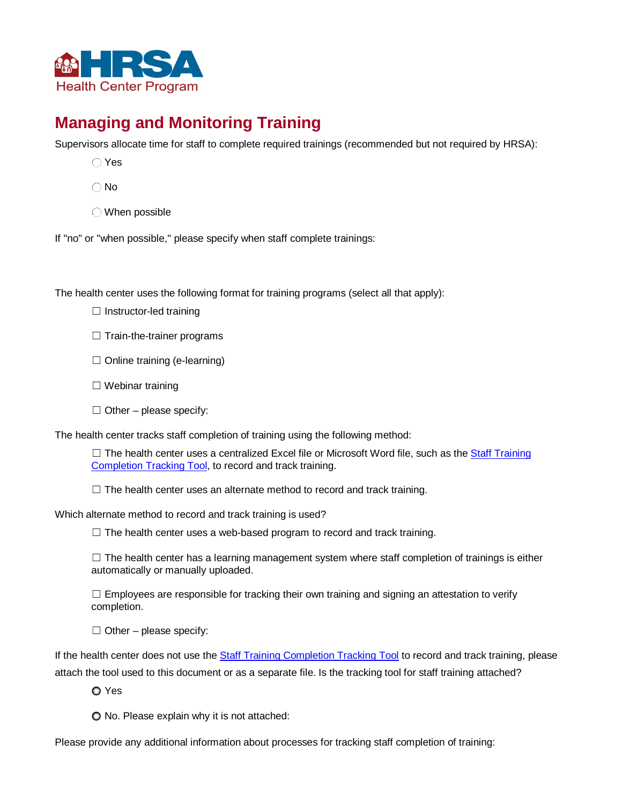

## **Managing and Monitoring Training**

Supervisors allocate time for staff to complete required trainings (recommended but not required by HRSA):

- Yes
- $\bigcap$  No
- When possible

If "no" or "when possible," please specify when staff complete trainings:

The health center uses the following format for training programs (select all that apply):

- □ Instructor-led training
- □ Train-the-trainer programs
- □ Online training (e-learning)
- ☐ Webinar training
- $\Box$  Other please specify:

The health center tracks staff completion of training using the following method:

 $\Box$  The health center uses a centralized Excel file or Microsoft Word file, such as the [Staff Training](https://www.ecri.org/components/HRSA/Pages/PSRMPol35.aspx) [Completion Tracking Tool,](https://www.ecri.org/components/HRSA/Pages/PSRMPol35.aspx) to record and track training.

 $\Box$  The health center uses an alternate method to record and track training.

Which alternate method to record and track training is used?

☐ The health center uses a web-based program to record and track training.

□ The health center has a learning management system where staff completion of trainings is either automatically or manually uploaded.

 $\Box$  Employees are responsible for tracking their own training and signing an attestation to verify completion.

 $\Box$  Other – please specify:

If the health center does not use the [Staff Training Completion Tracking Tool](https://www.ecri.org/components/HRSA/Pages/PSRMPol35.aspx) to record and track training, please attach the tool used to this document or as a separate file. Is the tracking tool for staff training attached?

**O** Yes

No. Please explain why it is not attached:

Please provide any additional information about processes for tracking staff completion of training: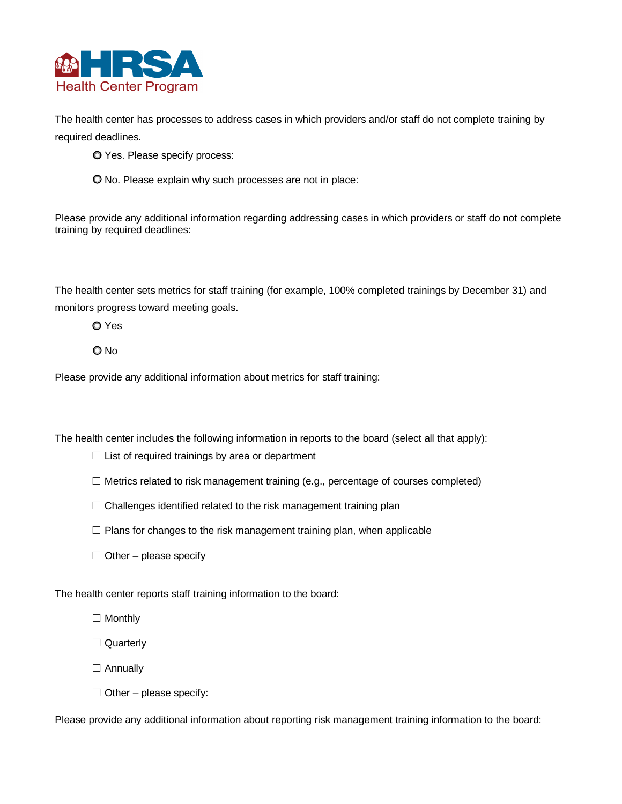

The health center has processes to address cases in which providers and/or staff do not complete training by required deadlines.

**O** Yes. Please specify process:

No. Please explain why such processes are not in place:

Please provide any additional information regarding addressing cases in which providers or staff do not complete training by required deadlines:

The health center sets metrics for staff training (for example, 100% completed trainings by December 31) and monitors progress toward meeting goals.

O Yes

O No

Please provide any additional information about metrics for staff training:

The health center includes the following information in reports to the board (select all that apply):

□ List of required trainings by area or department

- □ Metrics related to risk management training (e.g., percentage of courses completed)
- □ Challenges identified related to the risk management training plan
- □ Plans for changes to the risk management training plan, when applicable
- $\Box$  Other please specify

The health center reports staff training information to the board:

□ Monthly

□ Quarterly

□ Annually

 $\Box$  Other – please specify:

Please provide any additional information about reporting risk management training information to the board: